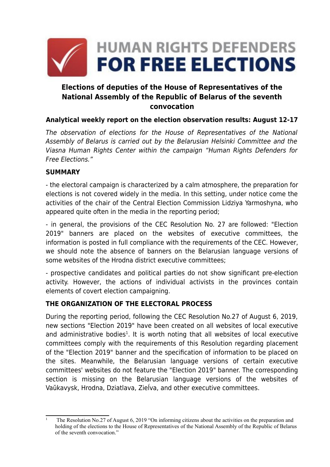

# **Elections of deputies of the House of Representatives of the National Assembly of the Republic of Belarus of the seventh convocation**

## **Analytical weekly report on the election observation results: August 12-17**

The observation of elections for the House of Representatives of the National Assembly of Belarus is carried out by the Belarusian Helsinki Committee and the Viasna Human Rights Center within the campaign "Human Rights Defenders for Free Elections."

#### **SUMMARY**

- the electoral campaign is characterized by a calm atmosphere, the preparation for elections is not covered widely in the media. In this setting, under notice come the activities of the chair of the Central Election Commission Lidziya Yarmoshyna, who appeared quite often in the media in the reporting period;

- in general, the provisions of the CEC Resolution No. 27 are followed: "Election 2019" banners are placed on the websites of executive committees, the information is posted in full compliance with the requirements of the CEC. However, we should note the absence of banners on the Belarusian language versions of some websites of the Hrodna district executive committees;

- prospective candidates and political parties do not show significant pre-election activity. However, the actions of individual activists in the provinces contain elements of covert election campaigning.

## **THE ORGANIZATION OF THE ELECTORAL PROCESS**

During the reporting period, following the CEC Resolution No.27 of August 6, 2019, new sections "Election 2019" have been created on all websites of local executive and administrative bodies<sup>[1](#page-0-0)</sup>. It is worth noting that all websites of local executive committees comply with the requirements of this Resolution regarding placement of the "Election 2019" banner and the specification of information to be placed on the sites. Meanwhile, the Belarusian language versions of certain executive committees' websites do not feature the "Election 2019" banner. The corresponding section is missing on the Belarusian language versions of the websites of Vaŭkavysk, Hrodna, Dziatlava, Zieĺva, and other executive committees.

<span id="page-0-0"></span><sup>1</sup> The Resolution No.27 of August 6, 2019 "On informing citizens about the activities on the preparation and holding of the elections to the House of Representatives of the National Assembly of the Republic of Belarus of the seventh convocation."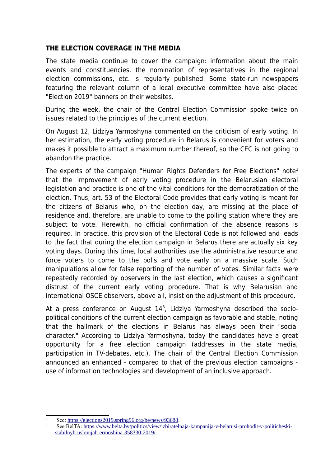#### **THE ELECTION COVERAGE IN THE MEDIA**

The state media continue to cover the campaign: information about the main events and constituencies, the nomination of representatives in the regional election commissions, etc. is regularly published. Some state-run newspapers featuring the relevant column of a local executive committee have also placed "Election 2019" banners on their websites.

During the week, the chair of the Central Election Commission spoke twice on issues related to the principles of the current election.

On August 12, Lidziya Yarmoshyna commented on the criticism of early voting. In her estimation, the early voting procedure in Belarus is convenient for voters and makes it possible to attract a maximum number thereof, so the CEC is not going to abandon the practice.

The experts of the campaign "Human Rights Defenders for Free Elections" note<sup>[2](#page-1-0)</sup> that the improvement of early voting procedure in the Belarusian electoral legislation and practice is one of the vital conditions for the democratization of the election. Thus, art. 53 of the Electoral Code provides that early voting is meant for the citizens of Belarus who, on the election day, are missing at the place of residence and, therefore, are unable to come to the polling station where they are subject to vote. Herewith, no official confirmation of the absence reasons is required. In practice, this provision of the Electoral Code is not followed and leads to the fact that during the election campaign in Belarus there are actually six key voting days. During this time, local authorities use the administrative resource and force voters to come to the polls and vote early on a massive scale. Such manipulations allow for false reporting of the number of votes. Similar facts were repeatedly recorded by observers in the last election, which causes a significant distrust of the current early voting procedure. That is why Belarusian and international OSCE observers, above all, insist on the adjustment of this procedure.

At a press conference on August 14<sup>[3](#page-1-1)</sup>, Lidziya Yarmoshyna described the sociopolitical conditions of the current election campaign as favorable and stable, noting that the hallmark of the elections in Belarus has always been their "social character." According to Lidziya Yarmoshyna, today the candidates have a great opportunity for a free election campaign (addresses in the state media, participation in TV-debates, etc.). The chair of the Central Election Commission announced an enhanced - compared to that of the previous election campaigns use of information technologies and development of an inclusive approach.

<span id="page-1-0"></span><sup>&</sup>lt;sup>2</sup> See: <https://elections2019.spring96.org/be/news/93688>.

<span id="page-1-1"></span>See BelTA: [https://www.belta.by/politics/view/izbiratelnaja-kampanija-v-belarusi-prohodit-v-politicheski](https://www.belta.by/politics/view/izbiratelnaja-kampanija-v-belarusi-prohodit-v-politicheski-stabilnyh-uslovijah-ermoshina-358330-2019/)[stabilnyh-uslovijah-ermoshina-358330-2019/](https://www.belta.by/politics/view/izbiratelnaja-kampanija-v-belarusi-prohodit-v-politicheski-stabilnyh-uslovijah-ermoshina-358330-2019/).